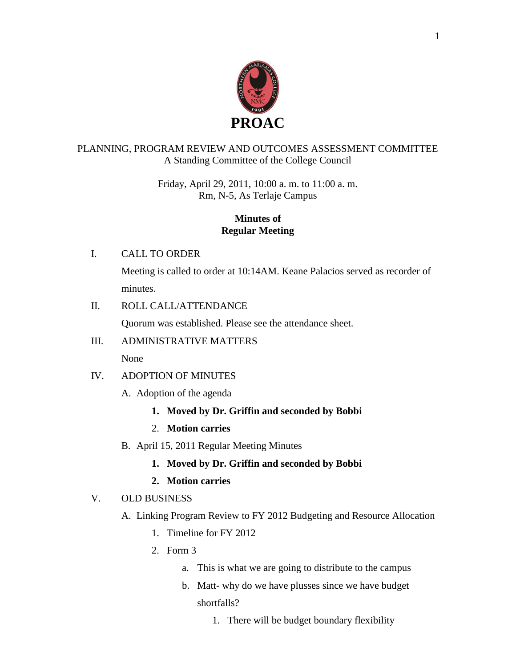

## PLANNING, PROGRAM REVIEW AND OUTCOMES ASSESSMENT COMMITTEE A Standing Committee of the College Council

Friday, April 29, 2011, 10:00 a. m. to 11:00 a. m. Rm, N-5, As Terlaje Campus

## **Minutes of Regular Meeting**

## I. CALL TO ORDER

Meeting is called to order at 10:14AM. Keane Palacios served as recorder of minutes.

### II. ROLL CALL/ATTENDANCE

Quorum was established. Please see the attendance sheet.

## III. ADMINISTRATIVE MATTERS

None

## IV. ADOPTION OF MINUTES

- A. Adoption of the agenda
	- **1. Moved by Dr. Griffin and seconded by Bobbi**
	- 2. **Motion carries**
- B. April 15, 2011 Regular Meeting Minutes
	- **1. Moved by Dr. Griffin and seconded by Bobbi**
	- **2. Motion carries**

## V. OLD BUSINESS

- A. Linking Program Review to FY 2012 Budgeting and Resource Allocation
	- 1. Timeline for FY 2012
	- 2. Form 3
		- a. This is what we are going to distribute to the campus
		- b. Matt- why do we have plusses since we have budget shortfalls?
			- 1. There will be budget boundary flexibility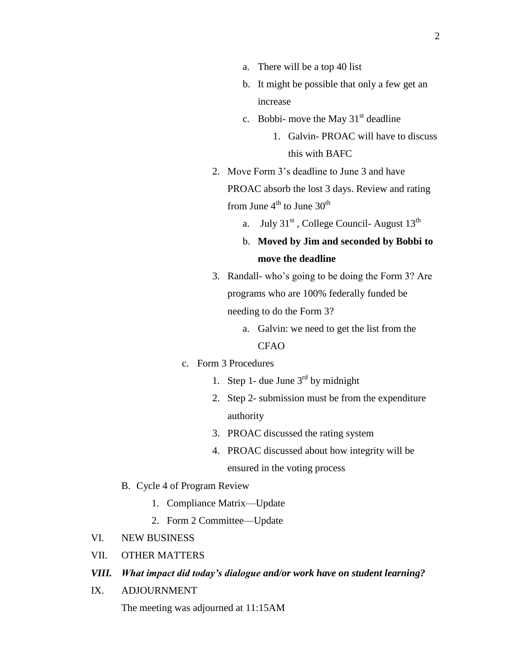- a. There will be a top 40 list
- b. It might be possible that only a few get an increase
- c. Bobbi- move the May  $31<sup>st</sup>$  deadline
	- 1. Galvin- PROAC will have to discuss this with BAFC
- 2. Move Form 3's deadline to June 3 and have PROAC absorb the lost 3 days. Review and rating from June  $4<sup>th</sup>$  to June  $30<sup>th</sup>$ 
	- a. July  $31<sup>st</sup>$ , College Council-August  $13<sup>th</sup>$

## b. **Moved by Jim and seconded by Bobbi to move the deadline**

- 3. Randall- who's going to be doing the Form 3? Are programs who are 100% federally funded be needing to do the Form 3?
	- a. Galvin: we need to get the list from the CFAO

#### c. Form 3 Procedures

- 1. Step 1- due June  $3<sup>rd</sup>$  by midnight
- 2. Step 2- submission must be from the expenditure authority
- 3. PROAC discussed the rating system
- 4. PROAC discussed about how integrity will be ensured in the voting process
- B. Cycle 4 of Program Review
	- 1. Compliance Matrix—Update
	- 2. Form 2 Committee—Update
- VI. NEW BUSINESS
- VII. OTHER MATTERS

#### *VIII. What impact did today's dialogue and/or work have on student learning?*

IX. ADJOURNMENT

The meeting was adjourned at 11:15AM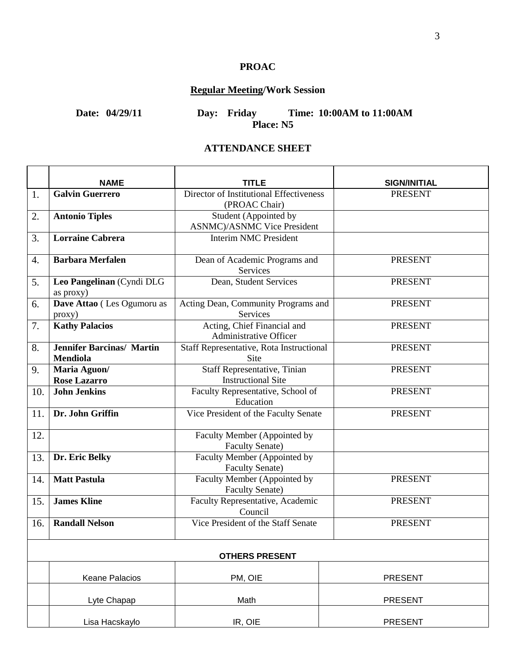## **PROAC**

# **Regular Meeting/Work Session**

**Date: 04/29/11 Day: Friday Time: 10:00AM to 11:00AM Place: N5**

### **ATTENDANCE SHEET**

|     | <b>NAME</b>                                         | TITLE                                                            | <b>SIGN/INITIAL</b> |  |  |
|-----|-----------------------------------------------------|------------------------------------------------------------------|---------------------|--|--|
| 1.  | <b>Galvin Guerrero</b>                              | Director of Institutional Effectiveness<br>(PROAC Chair)         | <b>PRESENT</b>      |  |  |
| 2.  | <b>Antonio Tiples</b>                               | Student (Appointed by<br><b>ASNMC</b> )/ASNMC Vice President     |                     |  |  |
| 3.  | <b>Lorraine Cabrera</b>                             | <b>Interim NMC President</b>                                     |                     |  |  |
| 4.  | <b>Barbara Merfalen</b>                             | Dean of Academic Programs and<br><b>Services</b>                 | <b>PRESENT</b>      |  |  |
| 5.  | Leo Pangelinan (Cyndi DLG<br>as proxy)              | Dean, Student Services                                           | <b>PRESENT</b>      |  |  |
| 6.  | Dave Attao (Les Ogumoru as<br>proxy)                | Acting Dean, Community Programs and<br>Services                  | <b>PRESENT</b>      |  |  |
| 7.  | <b>Kathy Palacios</b>                               | Acting, Chief Financial and<br>Administrative Officer            | <b>PRESENT</b>      |  |  |
| 8.  | <b>Jennifer Barcinas/ Martin</b><br><b>Mendiola</b> | Staff Representative, Rota Instructional<br><b>Site</b>          | <b>PRESENT</b>      |  |  |
| 9.  | Maria Aguon/<br><b>Rose Lazarro</b>                 | <b>Staff Representative, Tinian</b><br><b>Instructional Site</b> | <b>PRESENT</b>      |  |  |
| 10. | <b>John Jenkins</b>                                 | Faculty Representative, School of<br>Education                   | <b>PRESENT</b>      |  |  |
| 11. | Dr. John Griffin                                    | Vice President of the Faculty Senate                             | <b>PRESENT</b>      |  |  |
| 12. |                                                     | Faculty Member (Appointed by<br><b>Faculty Senate)</b>           |                     |  |  |
| 13. | Dr. Eric Belky                                      | Faculty Member (Appointed by<br><b>Faculty Senate)</b>           |                     |  |  |
| 14. | <b>Matt Pastula</b>                                 | Faculty Member (Appointed by<br><b>Faculty Senate)</b>           | <b>PRESENT</b>      |  |  |
| 15. | <b>James Kline</b>                                  | Faculty Representative, Academic<br>Council                      | <b>PRESENT</b>      |  |  |
| 16. | <b>Randall Nelson</b>                               | Vice President of the Staff Senate                               | <b>PRESENT</b>      |  |  |
|     | <b>OTHERS PRESENT</b>                               |                                                                  |                     |  |  |
|     | <b>Keane Palacios</b>                               | PM, OIE                                                          | <b>PRESENT</b>      |  |  |
|     | Lyte Chapap                                         | Math                                                             | <b>PRESENT</b>      |  |  |
|     | Lisa Hacskaylo                                      | IR, OIE                                                          | <b>PRESENT</b>      |  |  |